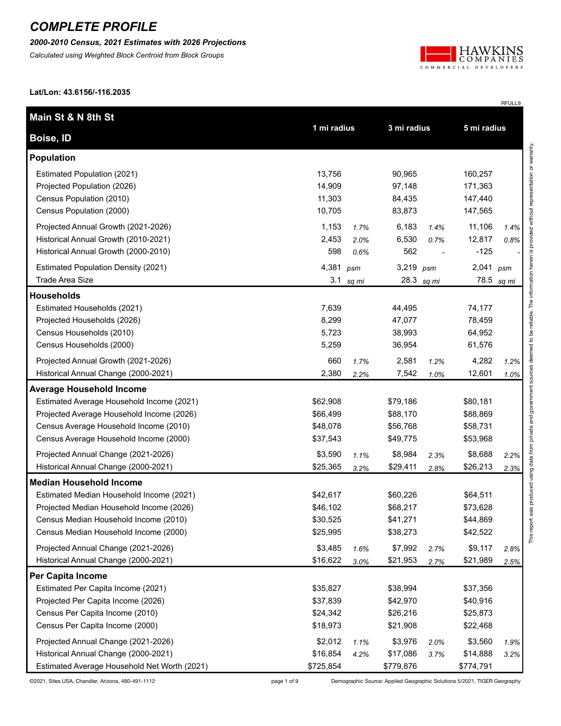*2000-2010 Census, 2021 Estimates with 2026 Projections*

*Calculated using Weighted Block Centroid from Block Groups*



RFULL9

**Lat/Lon: 43.6156/-116.2035**

| Main St & N 8th St                           |             |       |             |            |             |       |
|----------------------------------------------|-------------|-------|-------------|------------|-------------|-------|
| Boise, ID                                    | 1 mi radius |       | 3 mi radius |            | 5 mi radius |       |
| <b>Population</b>                            |             |       |             |            |             |       |
| Estimated Population (2021)                  | 13,756      |       | 90,965      |            | 160,257     |       |
| Projected Population (2026)                  | 14,909      |       | 97,148      |            | 171,363     |       |
| Census Population (2010)                     | 11,303      |       | 84,435      |            | 147,440     |       |
| Census Population (2000)                     | 10,705      |       | 83,873      |            | 147,565     |       |
| Projected Annual Growth (2021-2026)          | 1,153       | 1.7%  | 6,183       | 1.4%       | 11,106      | 1.4%  |
| Historical Annual Growth (2010-2021)         | 2,453       | 2.0%  | 6,530       | 0.7%       | 12,817      | 0.8%  |
| Historical Annual Growth (2000-2010)         | 598         | 0.6%  | 562         |            | $-125$      |       |
| <b>Estimated Population Density (2021)</b>   | 4,381       | psm   | 3,219 psm   |            | 2,041       | psm   |
| Trade Area Size                              | 3.1         | sq mi |             | 28.3 sq mi | 78.5        | sq mi |
| <b>Households</b>                            |             |       |             |            |             |       |
| Estimated Households (2021)                  | 7,639       |       | 44,495      |            | 74,177      |       |
| Projected Households (2026)                  | 8,299       |       | 47,077      |            | 78,459      |       |
| Census Households (2010)                     | 5,723       |       | 38,993      |            | 64,952      |       |
| Census Households (2000)                     | 5,259       |       | 36,954      |            | 61,576      |       |
| Projected Annual Growth (2021-2026)          | 660         | 1.7%  | 2,581       | 1.2%       | 4,282       | 1.2%  |
| Historical Annual Change (2000-2021)         | 2,380       | 2.2%  | 7,542       | 1.0%       | 12,601      | 1.0%  |
| <b>Average Household Income</b>              |             |       |             |            |             |       |
| Estimated Average Household Income (2021)    | \$62,908    |       | \$79,186    |            | \$80,181    |       |
| Projected Average Household Income (2026)    | \$66,499    |       | \$88,170    |            | \$88,869    |       |
| Census Average Household Income (2010)       | \$48,078    |       | \$56,768    |            | \$58,731    |       |
| Census Average Household Income (2000)       | \$37,543    |       | \$49,775    |            | \$53,968    |       |
| Projected Annual Change (2021-2026)          | \$3,590     | 1.1%  | \$8,984     | 2.3%       | \$8,688     | 2.2%  |
| Historical Annual Change (2000-2021)         | \$25,365    | 3.2%  | \$29,411    | 2.8%       | \$26,213    | 2.3%  |
| <b>Median Household Income</b>               |             |       |             |            |             |       |
| Estimated Median Household Income (2021)     | \$42,617    |       | \$60,226    |            | \$64,511    |       |
| Projected Median Household Income (2026)     | \$46,102    |       | \$68,217    |            | \$73,628    |       |
| Census Median Household Income (2010)        | \$30,525    |       | \$41,271    |            | \$44,869    |       |
| Census Median Household Income (2000)        | \$25,995    |       | \$38,273    |            | \$42,522    |       |
| Projected Annual Change (2021-2026)          | \$3,485     | 1.6%  | \$7,992     | 2.7%       | \$9,117     | 2.8%  |
| Historical Annual Change (2000-2021)         | \$16,622    | 3.0%  | \$21,953    | 2.7%       | \$21,989    | 2.5%  |
| <b>Per Capita Income</b>                     |             |       |             |            |             |       |
| Estimated Per Capita Income (2021)           | \$35,827    |       | \$38,994    |            | \$37,356    |       |
| Projected Per Capita Income (2026)           | \$37,839    |       | \$42,970    |            | \$40,916    |       |
| Census Per Capita Income (2010)              | \$24,342    |       | \$26,216    |            | \$25,873    |       |
| Census Per Capita Income (2000)              | \$18,973    |       | \$21,908    |            | \$22,468    |       |
| Projected Annual Change (2021-2026)          | \$2,012     | 1.1%  | \$3,976     | 2.0%       | \$3,560     | 1.9%  |
| Historical Annual Change (2000-2021)         | \$16,854    | 4.2%  | \$17,086    | 3.7%       | \$14,888    | 3.2%  |
| Estimated Average Household Net Worth (2021) | \$725,854   |       | \$779,876   |            | \$774,791   |       |

This report was produced using data from private and government sources deemed to be reliable. The information herein is provided without representation or warranty. This report was produced using data from private and government sources deemed to be reliable. The information herein is provided without representation or warranty.

©2021, Sites USA, Chandler, Arizona, 480-491-1112 page 1 of 9 Demographic Source: Applied Geographic Solutions 5/2021, TIGER Geography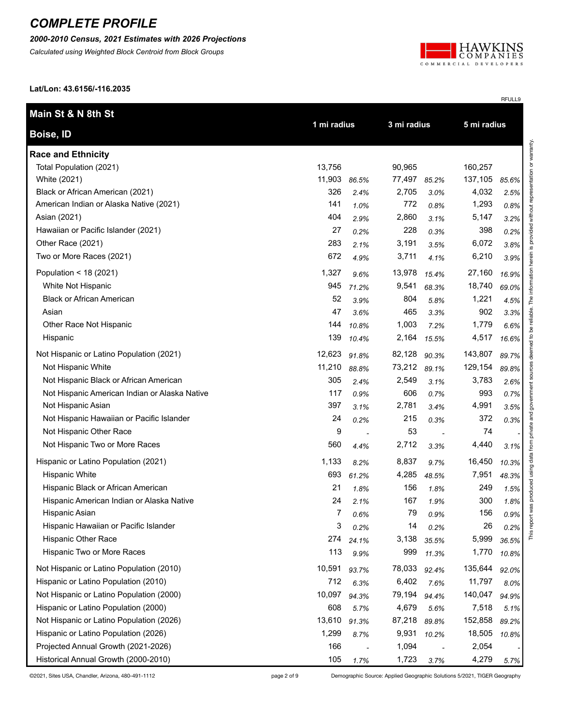*2000-2010 Census, 2021 Estimates with 2026 Projections*

*Calculated using Weighted Block Centroid from Block Groups*



RFULL9

**Lat/Lon: 43.6156/-116.2035**

| Main St & N 8th St                            |             |       |             |       |             |       |                                     |
|-----------------------------------------------|-------------|-------|-------------|-------|-------------|-------|-------------------------------------|
| Boise, ID                                     | 1 mi radius |       | 3 mi radius |       | 5 mi radius |       |                                     |
| <b>Race and Ethnicity</b>                     |             |       |             |       |             |       | without representation or warranty. |
| Total Population (2021)                       | 13,756      |       | 90,965      |       | 160,257     |       |                                     |
| White (2021)                                  | 11,903      | 86.5% | 77,497      | 85.2% | 137,105     | 85.6% |                                     |
| Black or African American (2021)              | 326         | 2.4%  | 2,705       | 3.0%  | 4,032       | 2.5%  |                                     |
| American Indian or Alaska Native (2021)       | 141         | 1.0%  | 772         | 0.8%  | 1,293       | 0.8%  |                                     |
| Asian (2021)                                  | 404         | 2.9%  | 2,860       | 3.1%  | 5,147       | 3.2%  |                                     |
| Hawaiian or Pacific Islander (2021)           | 27          | 0.2%  | 228         | 0.3%  | 398         | 0.2%  | provided                            |
| Other Race (2021)                             | 283         | 2.1%  | 3,191       | 3.5%  | 6,072       | 3.8%  | $\overline{\omega}$                 |
| Two or More Races (2021)                      | 672         | 4.9%  | 3,711       | 4.1%  | 6,210       | 3.9%  | herein                              |
| Population < 18 (2021)                        | 1,327       | 9.6%  | 13,978      | 15.4% | 27,160      | 16.9% |                                     |
| White Not Hispanic                            | 945         | 71.2% | 9,541       | 68.3% | 18,740      | 69.0% | The information                     |
| <b>Black or African American</b>              | 52          | 3.9%  | 804         | 5.8%  | 1,221       | 4.5%  |                                     |
| Asian                                         | 47          | 3.6%  | 465         | 3.3%  | 902         | 3.3%  | reliable.                           |
| Other Race Not Hispanic                       | 144         | 10.8% | 1,003       | 7.2%  | 1,779       | 6.6%  | ತಿ                                  |
| Hispanic                                      | 139         | 10.4% | 2,164       | 15.5% | 4,517       | 16.6% | م.                                  |
| Not Hispanic or Latino Population (2021)      | 12,623      | 91.8% | 82,128      | 90.3% | 143,807     | 89.7% | deemed                              |
| Not Hispanic White                            | 11,210      | 88.8% | 73,212      | 89.1% | 129,154     | 89.8% | sources                             |
| Not Hispanic Black or African American        | 305         | 2.4%  | 2,549       | 3.1%  | 3,783       | 2.6%  |                                     |
| Not Hispanic American Indian or Alaska Native | 117         | 0.9%  | 606         | 0.7%  | 993         | 0.7%  | ernment                             |
| Not Hispanic Asian                            | 397         | 3.1%  | 2,781       | 3.4%  | 4,991       | 3.5%  | ğ                                   |
| Not Hispanic Hawaiian or Pacific Islander     | 24          | 0.2%  | 215         | 0.3%  | 372         | 0.3%  | and                                 |
| Not Hispanic Other Race                       | 9           |       | 53          |       | 74          |       | private                             |
| Not Hispanic Two or More Races                | 560         | 4.4%  | 2,712       | 3.3%  | 4,440       | 3.1%  |                                     |
| Hispanic or Latino Population (2021)          | 1,133       | 8.2%  | 8,837       | 9.7%  | 16,450      | 10.3% | produced using data from            |
| <b>Hispanic White</b>                         | 693         | 61.2% | 4,285       | 48.5% | 7,951       | 48.3% |                                     |
| Hispanic Black or African American            | 21          | 1.8%  | 156         | 1.8%  | 249         | 1.5%  |                                     |
| Hispanic American Indian or Alaska Native     | 24          | 2.1%  | 167         | 1.9%  | 300         | 1.8%  |                                     |
| Hispanic Asian                                | 7           | 0.6%  | 79          | 0.9%  | 156         | 0.9%  |                                     |
| Hispanic Hawaiian or Pacific Islander         | 3           | 0.2%  | 14          | 0.2%  | 26          | 0.2%  | report                              |
| Hispanic Other Race                           | 274         | 24.1% | 3,138       | 35.5% | 5,999       | 36.5% |                                     |
| Hispanic Two or More Races                    | 113         | 9.9%  | 999         | 11.3% | 1,770       | 10.8% |                                     |
| Not Hispanic or Latino Population (2010)      | 10,591      | 93.7% | 78,033      | 92.4% | 135,644     | 92.0% |                                     |
| Hispanic or Latino Population (2010)          | 712         | 6.3%  | 6,402       | 7.6%  | 11,797      | 8.0%  |                                     |
| Not Hispanic or Latino Population (2000)      | 10,097      | 94.3% | 79,194      | 94.4% | 140,047     | 94.9% |                                     |
| Hispanic or Latino Population (2000)          | 608         | 5.7%  | 4,679       | 5.6%  | 7,518       | 5.1%  |                                     |
| Not Hispanic or Latino Population (2026)      | 13,610      | 91.3% | 87,218      | 89.8% | 152,858     | 89.2% |                                     |
| Hispanic or Latino Population (2026)          | 1,299       | 8.7%  | 9,931       | 10.2% | 18,505      | 10.8% |                                     |
| Projected Annual Growth (2021-2026)           | 166         |       | 1,094       |       | 2,054       |       |                                     |
| Historical Annual Growth (2000-2010)          | 105         | 1.7%  | 1,723       | 3.7%  | 4,279       | 5.7%  |                                     |

©2021, Sites USA, Chandler, Arizona, 480-491-1112 page 2 of 9 Demographic Source: Applied Geographic Solutions 5/2021, TIGER Geography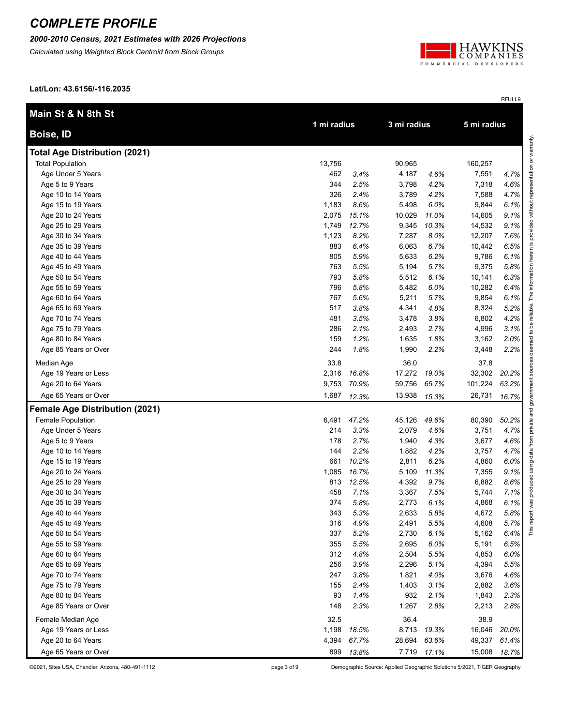*2000-2010 Census, 2021 Estimates with 2026 Projections*

*Calculated using Weighted Block Centroid from Block Groups*



RFULL9

**Lat/Lon: 43.6156/-116.2035**

| Main St & N 8th St                    |        |             |        |             | 5 mi radius |       |
|---------------------------------------|--------|-------------|--------|-------------|-------------|-------|
| <b>Boise, ID</b>                      |        | 1 mi radius |        | 3 mi radius |             |       |
| <b>Total Age Distribution (2021)</b>  |        |             |        |             |             |       |
| <b>Total Population</b>               | 13,756 |             | 90,965 |             | 160,257     |       |
| Age Under 5 Years                     | 462    | 3.4%        | 4,187  | 4.6%        | 7,551       | 4.7%  |
| Age 5 to 9 Years                      | 344    | 2.5%        | 3,798  | 4.2%        | 7,318       | 4.6%  |
| Age 10 to 14 Years                    | 326    | 2.4%        | 3,789  | 4.2%        | 7,588       | 4.7%  |
| Age 15 to 19 Years                    | 1,183  | 8.6%        | 5,498  | 6.0%        | 9,844       | 6.1%  |
| Age 20 to 24 Years                    | 2,075  | 15.1%       | 10,029 | 11.0%       | 14,605      | 9.1%  |
| Age 25 to 29 Years                    | 1,749  | 12.7%       | 9,345  | 10.3%       | 14,532      | 9.1%  |
| Age 30 to 34 Years                    | 1,123  | 8.2%        | 7,287  | 8.0%        | 12,207      | 7.6%  |
| Age 35 to 39 Years                    | 883    | 6.4%        | 6,063  | 6.7%        | 10,442      | 6.5%  |
| Age 40 to 44 Years                    | 805    | 5.9%        | 5,633  | 6.2%        | 9,786       | 6.1%  |
| Age 45 to 49 Years                    | 763    | 5.5%        | 5,194  | 5.7%        | 9,375       | 5.8%  |
| Age 50 to 54 Years                    | 793    | 5.8%        | 5,512  | 6.1%        | 10,141      | 6.3%  |
| Age 55 to 59 Years                    | 796    | 5.8%        | 5,482  | 6.0%        | 10,282      | 6.4%  |
| Age 60 to 64 Years                    | 767    | 5.6%        | 5,211  | 5.7%        | 9,854       | 6.1%  |
| Age 65 to 69 Years                    | 517    | 3.8%        | 4,341  | 4.8%        | 8,324       | 5.2%  |
| Age 70 to 74 Years                    | 481    | 3.5%        | 3,478  | 3.8%        | 6,802       | 4.2%  |
| Age 75 to 79 Years                    | 286    | 2.1%        | 2,493  | 2.7%        | 4,996       | 3.1%  |
| Age 80 to 84 Years                    | 159    | 1.2%        | 1,635  | 1.8%        | 3,162       | 2.0%  |
| Age 85 Years or Over                  | 244    | 1.8%        | 1,990  | 2.2%        | 3,448       | 2.2%  |
| Median Age                            | 33.8   |             | 36.0   |             | 37.8        |       |
| Age 19 Years or Less                  | 2,316  | 16.8%       | 17,272 | 19.0%       | 32,302      | 20.2% |
| Age 20 to 64 Years                    | 9,753  | 70.9%       | 59,756 | 65.7%       | 101,224     | 63.2% |
| Age 65 Years or Over                  | 1,687  | 12.3%       | 13,938 | 15.3%       | 26,731      | 16.7% |
| <b>Female Age Distribution (2021)</b> |        |             |        |             |             |       |
| <b>Female Population</b>              | 6,491  | 47.2%       | 45,126 | 49.6%       | 80,390      | 50.2% |
| Age Under 5 Years                     | 214    | 3.3%        | 2,079  | 4.6%        | 3,751       | 4.7%  |
| Age 5 to 9 Years                      | 178    | 2.7%        | 1,940  | 4.3%        | 3,677       | 4.6%  |
| Age 10 to 14 Years                    | 144    | 2.2%        | 1,882  | 4.2%        | 3,757       | 4.7%  |
| Age 15 to 19 Years                    | 661    | 10.2%       | 2,811  | 6.2%        | 4,860       | 6.0%  |
| Age 20 to 24 Years                    | 1,085  | 16.7%       | 5,109  | 11.3%       | 7,355       | 9.1%  |
| Age 25 to 29 Years                    | 813    | 12.5%       | 4,392  | 9.7%        | 6,882       | 8.6%  |
| Age 30 to 34 Years                    | 458    | 7.1%        | 3,367  | 7.5%        | 5,744       | 7.1%  |
| Age 35 to 39 Years                    | 374    | 5.8%        | 2,773  | 6.1%        | 4,868       | 6.1%  |
| Age 40 to 44 Years                    | 343    | 5.3%        | 2,633  | 5.8%        | 4,672       | 5.8%  |
| Age 45 to 49 Years                    | 316    | 4.9%        | 2,491  | 5.5%        | 4,608       | 5.7%  |
| Age 50 to 54 Years                    | 337    | 5.2%        | 2,730  | 6.1%        | 5,162       | 6.4%  |
| Age 55 to 59 Years                    | 355    | 5.5%        | 2,695  | 6.0%        | 5,191       | 6.5%  |
| Age 60 to 64 Years                    | 312    | 4.8%        | 2,504  | 5.5%        | 4,853       | 6.0%  |
| Age 65 to 69 Years                    | 256    | 3.9%        | 2,296  | 5.1%        | 4,394       | 5.5%  |
| Age 70 to 74 Years                    | 247    | 3.8%        | 1,821  | 4.0%        | 3,676       | 4.6%  |
| Age 75 to 79 Years                    | 155    | 2.4%        | 1,403  | 3.1%        | 2,882       | 3.6%  |
| Age 80 to 84 Years                    | 93     | 1.4%        | 932    | 2.1%        | 1,843       | 2.3%  |
| Age 85 Years or Over                  | 148    | 2.3%        | 1,267  | 2.8%        | 2,213       | 2.8%  |
| Female Median Age                     | 32.5   |             | 36.4   |             | 38.9        |       |
| Age 19 Years or Less                  | 1,198  | 18.5%       | 8,713  | 19.3%       | 16,046      | 20.0% |
| Age 20 to 64 Years                    | 4,394  | 67.7%       | 28,694 | 63.6%       | 49,337      | 61.4% |
| Age 65 Years or Over                  | 899    | 13.8%       | 7,719  | 17.1%       | 15,008      | 18.7% |

©2021, Sites USA, Chandler, Arizona, 480-491-1112 page 3 of 9 Demographic Source: Applied Geographic Solutions 5/2021, TIGER Geography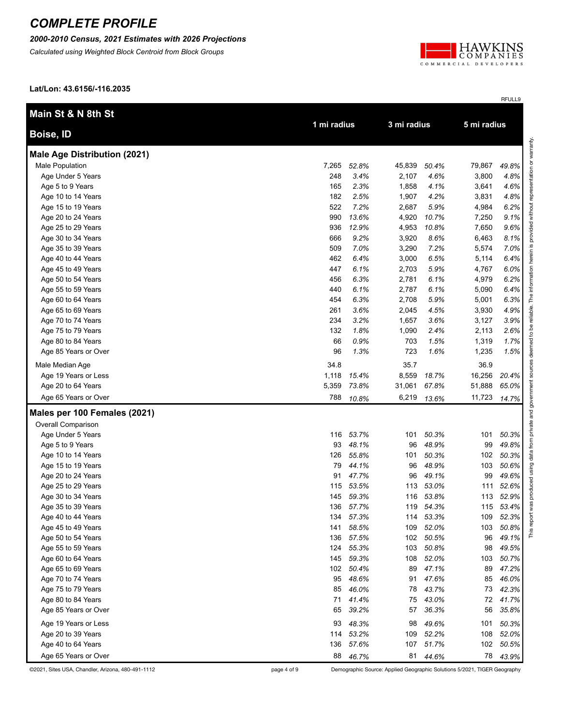*2000-2010 Census, 2021 Estimates with 2026 Projections*

*Calculated using Weighted Block Centroid from Block Groups*



RFULL9

**Lat/Lon: 43.6156/-116.2035**

| Main St & N 8th St                  |             |           |             |           |             |       |                         |
|-------------------------------------|-------------|-----------|-------------|-----------|-------------|-------|-------------------------|
| <b>Boise, ID</b>                    | 1 mi radius |           | 3 mi radius |           | 5 mi radius |       |                         |
| <b>Male Age Distribution (2021)</b> |             |           |             |           |             |       | esentation or warranty. |
| Male Population                     | 7,265       | 52.8%     | 45,839      | 50.4%     | 79,867      | 49.8% |                         |
| Age Under 5 Years                   | 248         | 3.4%      | 2,107       | 4.6%      | 3,800       | 4.8%  |                         |
| Age 5 to 9 Years                    | 165         | 2.3%      | 1,858       | 4.1%      | 3,641       | 4.6%  |                         |
| Age 10 to 14 Years                  | 182         | 2.5%      | 1,907       | 4.2%      | 3,831       | 4.8%  |                         |
| Age 15 to 19 Years                  | 522         | 7.2%      | 2,687       | 5.9%      | 4,984       | 6.2%  | without                 |
| Age 20 to 24 Years                  | 990         | 13.6%     | 4,920       | 10.7%     | 7,250       | 9.1%  |                         |
| Age 25 to 29 Years                  | 936         | 12.9%     | 4,953       | 10.8%     | 7,650       | 9.6%  | provided                |
| Age 30 to 34 Years                  | 666         | 9.2%      | 3,920       | 8.6%      | 6,463       | 8.1%  |                         |
| Age 35 to 39 Years                  | 509         | 7.0%      | 3,290       | 7.2%      | 5,574       | 7.0%  | ∾.                      |
| Age 40 to 44 Years                  | 462         | 6.4%      | 3,000       | 6.5%      | 5,114       | 6.4%  |                         |
| Age 45 to 49 Years                  | 447         | 6.1%      | 2,703       | 5.9%      | 4,767       | 6.0%  |                         |
| Age 50 to 54 Years                  | 456         | 6.3%      | 2,781       | 6.1%      | 4,979       | 6.2%  |                         |
| Age 55 to 59 Years                  | 440         | 6.1%      | 2,787       | 6.1%      | 5,090       | 6.4%  |                         |
| Age 60 to 64 Years                  | 454         | 6.3%      | 2,708       | 5.9%      | 5,001       | 6.3%  | The                     |
| Age 65 to 69 Years                  | 261         | 3.6%      | 2,045       | 4.5%      | 3,930       | 4.9%  | reliable.               |
| Age 70 to 74 Years                  | 234         | 3.2%      | 1,657       | 3.6%      | 3,127       | 3.9%  |                         |
| Age 75 to 79 Years                  | 132         | 1.8%      | 1,090       | 2.4%      | 2,113       | 2.6%  | ತಿ<br>م.                |
| Age 80 to 84 Years                  | 66          | 0.9%      | 703         | 1.5%      | 1,319       | 1.7%  | 8                       |
| Age 85 Years or Over                | 96          | 1.3%      | 723         | 1.6%      | 1,235       | 1.5%  | deer                    |
| Male Median Age                     | 34.8        |           | 35.7        |           | 36.9        |       |                         |
| Age 19 Years or Less                | 1,118       | 15.4%     | 8,559       | 18.7%     | 16,256      | 20.4% | nos                     |
| Age 20 to 64 Years                  | 5,359       | 73.8%     | 31,061      | 67.8%     | 51,888      | 65.0% |                         |
| Age 65 Years or Over                | 788         | 10.8%     | 6,219       | 13.6%     | 11,723      | 14.7% | government              |
| Males per 100 Females (2021)        |             |           |             |           |             |       | private and             |
| Overall Comparison                  |             |           |             |           |             |       |                         |
| Age Under 5 Years                   | 116         | 53.7%     | 101         | 50.3%     | 101         | 50.3% |                         |
| Age 5 to 9 Years                    | 93          | 48.1%     | 96          | 48.9%     | 99          | 49.8% | from                    |
| Age 10 to 14 Years                  | 126         | 55.8%     | 101         | 50.3%     | 102         | 50.3% | data                    |
| Age 15 to 19 Years                  | 79          | 44.1%     | 96          | 48.9%     | 103         | 50.6% | using                   |
| Age 20 to 24 Years                  | 91          | 47.7%     | 96          | 49.1%     | 99          | 49.6% |                         |
| Age 25 to 29 Years                  | 115         | 53.5%     | 113         | 53.0%     | 111         | 52.6% | produced                |
| Age 30 to 34 Years                  | 145         | 59.3%     | 116         | 53.8%     | 113         | 52.9% |                         |
| Age 35 to 39 Years                  |             | 136 57.7% |             | 119 54.3% | 115         | 53.4% | was                     |
| Age 40 to 44 Years                  | 134         | 57.3%     |             | 114 53.3% | 109         | 52.3% |                         |
| Age 45 to 49 Years                  | 141         | 58.5%     | 109         | 52.0%     | 103         | 50.8% | This repor              |
| Age 50 to 54 Years                  | 136         | 57.5%     | 102         | 50.5%     | 96          | 49.1% |                         |
| Age 55 to 59 Years                  | 124         | 55.3%     | 103         | 50.8%     | 98          | 49.5% |                         |
| Age 60 to 64 Years                  | 145         | 59.3%     | 108         | 52.0%     | 103         | 50.7% |                         |
| Age 65 to 69 Years                  | 102         | 50.4%     | 89          | 47.1%     | 89          | 47.2% |                         |
| Age 70 to 74 Years                  | 95          | 48.6%     | 91          | 47.6%     | 85          | 46.0% |                         |
| Age 75 to 79 Years                  | 85          | 46.0%     | 78          | 43.7%     | 73          | 42.3% |                         |
| Age 80 to 84 Years                  | 71          | 41.4%     | 75          | 43.0%     | 72          | 41.7% |                         |
| Age 85 Years or Over                | 65          | 39.2%     | 57          | 36.3%     | 56          | 35.8% |                         |
| Age 19 Years or Less                | 93          | 48.3%     | 98          | 49.6%     | 101         | 50.3% |                         |
| Age 20 to 39 Years                  | 114         | 53.2%     | 109         | 52.2%     | 108         | 52.0% |                         |
| Age 40 to 64 Years                  | 136         | 57.6%     | 107         | 51.7%     | 102         | 50.5% |                         |
| Age 65 Years or Over                | 88          | 46.7%     | 81          | 44.6%     | 78          | 43.9% |                         |

©2021, Sites USA, Chandler, Arizona, 480-491-1112 page 4 of 9 Demographic Source: Applied Geographic Solutions 5/2021, TIGER Geography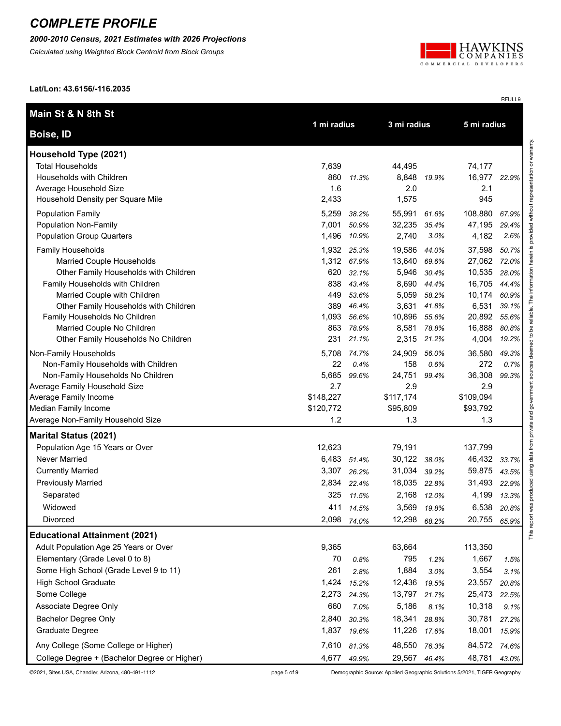*2000-2010 Census, 2021 Estimates with 2026 Projections*

*Calculated using Weighted Block Centroid from Block Groups*



**Lat/Lon: 43.6156/-116.2035**

| Main St & N 8th St                           | 1 mi radius |             | 3 mi radius  |       | 5 mi radius |       |
|----------------------------------------------|-------------|-------------|--------------|-------|-------------|-------|
| Boise, ID                                    |             |             |              |       |             |       |
| Household Type (2021)                        |             |             |              |       |             |       |
| <b>Total Households</b>                      | 7,639       |             | 44,495       |       | 74,177      |       |
| Households with Children                     | 860         | 11.3%       | 8,848        | 19.9% | 16,977      | 22.9% |
| Average Household Size                       | 1.6         |             | 2.0          |       | 2.1         |       |
| Household Density per Square Mile            | 2,433       |             | 1,575        |       | 945         |       |
| <b>Population Family</b>                     | 5,259       | 38.2%       | 55,991       | 61.6% | 108,880     | 67.9% |
| <b>Population Non-Family</b>                 | 7,001       | 50.9%       | 32,235       | 35.4% | 47,195      | 29.4% |
| <b>Population Group Quarters</b>             | 1,496       | 10.9%       | 2,740        | 3.0%  | 4,182       | 2.6%  |
| <b>Family Households</b>                     |             | 1,932 25.3% | 19,586       | 44.0% | 37,598      | 50.7% |
| Married Couple Households                    |             | 1,312 67.9% | 13,640       | 69.6% | 27,062      | 72.0% |
| Other Family Households with Children        | 620         | 32.1%       | 5,946        | 30.4% | 10,535      | 28.0% |
| Family Households with Children              | 838         | 43.4%       | 8,690        | 44.4% | 16,705      | 44.4% |
| Married Couple with Children                 | 449         | 53.6%       | 5,059        | 58.2% | 10,174      | 60.9% |
| Other Family Households with Children        | 389         | 46.4%       | 3,631        | 41.8% | 6,531       | 39.1% |
| Family Households No Children                | 1,093       | 56.6%       | 10,896       | 55.6% | 20,892      | 55.6% |
| Married Couple No Children                   | 863         | 78.9%       | 8,581        | 78.8% | 16,888      | 80.8% |
| Other Family Households No Children          | 231         | 21.1%       | 2,315        | 21.2% | 4,004       | 19.2% |
| Non-Family Households                        | 5,708       | 74.7%       | 24,909       | 56.0% | 36,580      | 49.3% |
| Non-Family Households with Children          | 22          | 0.4%        | 158          | 0.6%  | 272         | 0.7%  |
| Non-Family Households No Children            | 5,685       | 99.6%       | 24,751       | 99.4% | 36,308      | 99.3% |
| Average Family Household Size                | 2.7         |             | 2.9          |       | 2.9         |       |
| Average Family Income                        | \$148,227   |             | \$117,174    |       | \$109,094   |       |
| Median Family Income                         | \$120,772   |             | \$95,809     |       | \$93,792    |       |
| Average Non-Family Household Size            | 1.2         |             | 1.3          |       | 1.3         |       |
| <b>Marital Status (2021)</b>                 |             |             |              |       |             |       |
| Population Age 15 Years or Over              | 12,623      |             | 79,191       |       | 137,799     |       |
| Never Married                                | 6,483       | 51.4%       | 30,122 38.0% |       | 46,432      | 33.7% |
| <b>Currently Married</b>                     | 3,307       | 26.2%       | 31,034       | 39.2% | 59,875      | 43.5% |
| <b>Previously Married</b>                    | 2,834       | 22.4%       | 18,035       | 22.8% | 31,493      | 22.9% |
| Separated                                    | 325         | 11.5%       | 2,168        | 12.0% | 4,199       | 13.3% |
| Widowed                                      | 411         | 14.5%       | 3,569        | 19.8% | 6,538       | 20.8% |
| Divorced                                     | 2,098       | 74.0%       | 12,298       | 68.2% | 20,755      | 65.9% |
| <b>Educational Attainment (2021)</b>         |             |             |              |       |             |       |
| Adult Population Age 25 Years or Over        | 9,365       |             | 63,664       |       | 113,350     |       |
| Elementary (Grade Level 0 to 8)              | 70          | 0.8%        | 795          | 1.2%  | 1,667       | 1.5%  |
| Some High School (Grade Level 9 to 11)       | 261         | 2.8%        | 1,884        | 3.0%  | 3,554       | 3.1%  |
| <b>High School Graduate</b>                  | 1,424       | 15.2%       | 12,436       | 19.5% | 23,557      | 20.8% |
| Some College                                 | 2,273       | 24.3%       | 13,797       | 21.7% | 25,473      | 22.5% |
| Associate Degree Only                        | 660         | 7.0%        | 5,186        | 8.1%  | 10,318      | 9.1%  |
| <b>Bachelor Degree Only</b>                  | 2,840       | 30.3%       | 18,341       | 28.8% | 30,781      | 27.2% |
| Graduate Degree                              | 1,837       | 19.6%       | 11,226       | 17.6% | 18,001      | 15.9% |
| Any College (Some College or Higher)         | 7,610       | 81.3%       | 48,550       | 76.3% | 84,572      | 74.6% |
| College Degree + (Bachelor Degree or Higher) | 4,677       | 49.9%       | 29,567 46.4% |       | 48,781      | 43.0% |

©2021, Sites USA, Chandler, Arizona, 480-491-1112 page 5 of 9 Demographic Source: Applied Geographic Solutions 5/2021, TIGER Geography

RFULL9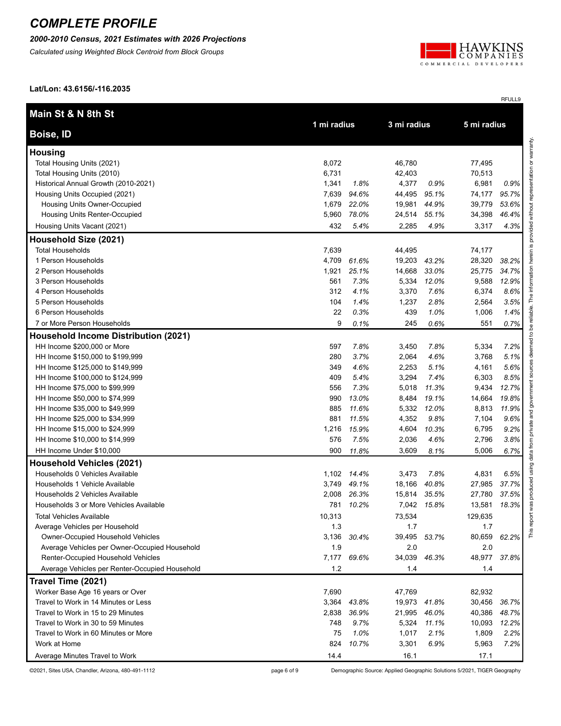*2000-2010 Census, 2021 Estimates with 2026 Projections*

*Calculated using Weighted Block Centroid from Block Groups*



RFULL9

**Lat/Lon: 43.6156/-116.2035**

| Main St & N 8th St                             |             |             |              |             | 5 mi radius |       |  |
|------------------------------------------------|-------------|-------------|--------------|-------------|-------------|-------|--|
| <b>Boise, ID</b>                               | 1 mi radius |             | 3 mi radius  |             |             |       |  |
| <b>Housing</b>                                 |             |             |              |             |             |       |  |
| Total Housing Units (2021)                     | 8,072       |             | 46,780       |             | 77,495      |       |  |
| Total Housing Units (2010)                     | 6,731       |             | 42,403       |             | 70,513      |       |  |
| Historical Annual Growth (2010-2021)           | 1,341       | 1.8%        | 4,377        | 0.9%        | 6,981       | 0.9%  |  |
| Housing Units Occupied (2021)                  | 7,639       | 94.6%       | 44,495       | 95.1%       | 74,177      | 95.7% |  |
| Housing Units Owner-Occupied                   | 1,679       | 22.0%       | 19,981       | 44.9%       | 39,779      | 53.6% |  |
| Housing Units Renter-Occupied                  | 5,960       | 78.0%       | 24,514       | 55.1%       | 34,398      | 46.4% |  |
| Housing Units Vacant (2021)                    | 432         | 5.4%        | 2,285        | 4.9%        | 3,317       | 4.3%  |  |
| Household Size (2021)                          |             |             |              |             |             |       |  |
| <b>Total Households</b>                        | 7,639       |             | 44,495       |             | 74,177      |       |  |
| 1 Person Households                            | 4,709       | 61.6%       | 19,203       | 43.2%       | 28,320      | 38.2% |  |
| 2 Person Households                            | 1,921       | 25.1%       | 14,668       | 33.0%       | 25,775      | 34.7% |  |
| 3 Person Households                            | 561         | 7.3%        | 5,334        | 12.0%       | 9,588       | 12.9% |  |
| 4 Person Households                            | 312         | 4.1%        | 3,370        | 7.6%        | 6,374       | 8.6%  |  |
| 5 Person Households                            | 104         | 1.4%        | 1,237        | 2.8%        | 2,564       | 3.5%  |  |
| 6 Person Households                            | 22          | 0.3%        | 439          | 1.0%        | 1,006       | 1.4%  |  |
| 7 or More Person Households                    | 9           | 0.1%        | 245          | 0.6%        | 551         | 0.7%  |  |
| <b>Household Income Distribution (2021)</b>    |             |             |              |             |             |       |  |
| HH Income \$200,000 or More                    | 597         | 7.8%        | 3,450        | 7.8%        | 5,334       | 7.2%  |  |
| HH Income \$150,000 to \$199,999               | 280         | 3.7%        | 2,064        | 4.6%        | 3,768       | 5.1%  |  |
| HH Income \$125,000 to \$149,999               | 349         | 4.6%        | 2,253        | 5.1%        | 4,161       | 5.6%  |  |
| HH Income \$100,000 to \$124,999               | 409         | 5.4%        | 3,294        | 7.4%        | 6,303       | 8.5%  |  |
| HH Income \$75,000 to \$99,999                 | 556         | 7.3%        | 5,018        | 11.3%       | 9,434       | 12.7% |  |
| HH Income \$50,000 to \$74,999                 | 990         | 13.0%       | 8,484        | 19.1%       | 14,664      | 19.8% |  |
| HH Income \$35,000 to \$49,999                 | 885         | 11.6%       | 5,332        | 12.0%       | 8,813       | 11.9% |  |
| HH Income \$25,000 to \$34,999                 | 881         | 11.5%       | 4,352        | 9.8%        | 7,104       | 9.6%  |  |
| HH Income \$15,000 to \$24,999                 | 1,216       | 15.9%       | 4,604        | 10.3%       | 6,795       | 9.2%  |  |
| HH Income \$10,000 to \$14,999                 | 576         | 7.5%        | 2,036        | 4.6%        | 2,796       | 3.8%  |  |
| HH Income Under \$10,000                       | 900         | 11.8%       | 3,609        | 8.1%        | 5,006       | 6.7%  |  |
| <b>Household Vehicles (2021)</b>               |             |             |              |             |             |       |  |
| Households 0 Vehicles Available                |             | 1,102 14.4% | 3,473        | 7.8%        | 4,831       | 6.5%  |  |
| Households 1 Vehicle Available                 | 3,749       | 49.1%       | 18,166       | 40.8%       | 27,985      | 37.7% |  |
| Households 2 Vehicles Available                | 2,008       | 26.3%       | 15,814       | 35.5%       | 27,780      | 37.5% |  |
| Households 3 or More Vehicles Available        | 781         | 10.2%       |              | 7,042 15.8% | 13,581      | 18.3% |  |
| <b>Total Vehicles Available</b>                | 10,313      |             | 73,534       |             | 129,635     |       |  |
| Average Vehicles per Household                 | 1.3         |             | 1.7          |             | 1.7         |       |  |
| Owner-Occupied Household Vehicles              | 3,136       | 30.4%       | 39,495       | 53.7%       | 80,659      | 62.2% |  |
| Average Vehicles per Owner-Occupied Household  | 1.9         |             | 2.0          |             | 2.0         |       |  |
| Renter-Occupied Household Vehicles             | 7,177       | 69.6%       | 34,039 46.3% |             | 48,977      | 37.8% |  |
| Average Vehicles per Renter-Occupied Household | 1.2         |             | 1.4          |             | 1.4         |       |  |
| Travel Time (2021)                             |             |             |              |             |             |       |  |
| Worker Base Age 16 years or Over               | 7,690       |             | 47,769       |             | 82,932      |       |  |
| Travel to Work in 14 Minutes or Less           | 3,364       | 43.8%       | 19,973       | 41.8%       | 30,456      | 36.7% |  |
| Travel to Work in 15 to 29 Minutes             | 2,838       | 36.9%       | 21,995       | 46.0%       | 40,386      | 48.7% |  |
| Travel to Work in 30 to 59 Minutes             | 748         | 9.7%        | 5,324        | 11.1%       | 10,093      | 12.2% |  |
| Travel to Work in 60 Minutes or More           | 75          | 1.0%        | 1,017        | 2.1%        | 1,809       | 2.2%  |  |
| Work at Home                                   | 824         | 10.7%       | 3,301        | 6.9%        | 5,963       | 7.2%  |  |
| Average Minutes Travel to Work                 | 14.4        |             | 16.1         |             | 17.1        |       |  |

©2021, Sites USA, Chandler, Arizona, 480-491-1112 page 6 of 9 Demographic Source: Applied Geographic Solutions 5/2021, TIGER Geography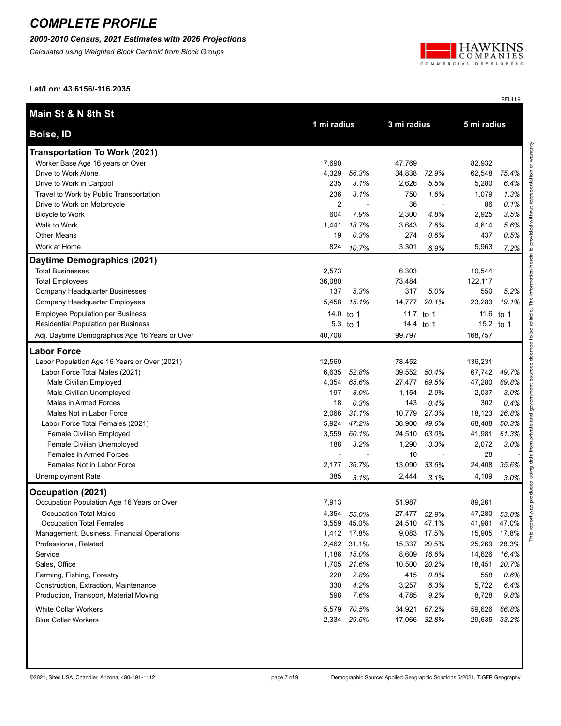*2000-2010 Census, 2021 Estimates with 2026 Projections*

*Calculated using Weighted Block Centroid from Block Groups*



RFULL9

**Lat/Lon: 43.6156/-116.2035**

| Main St & N 8th St                             |                |             | 1 mi radius<br>3 mi radius |              |             |              |
|------------------------------------------------|----------------|-------------|----------------------------|--------------|-------------|--------------|
| Boise, ID                                      |                |             |                            |              | 5 mi radius |              |
| <b>Transportation To Work (2021)</b>           |                |             |                            |              |             |              |
| Worker Base Age 16 years or Over               | 7,690          |             | 47,769                     |              | 82,932      |              |
| Drive to Work Alone                            | 4,329          | 56.3%       | 34,838                     | 72.9%        | 62,548      | 75.4%        |
| Drive to Work in Carpool                       | 235            | 3.1%        | 2,626                      | 5.5%         | 5,280       | 6.4%         |
| Travel to Work by Public Transportation        | 236            | 3.1%        | 750                        | 1.6%         | 1,079       | 1.3%         |
| Drive to Work on Motorcycle                    | $\overline{c}$ |             | 36                         |              | 86          | 0.1%         |
| <b>Bicycle to Work</b>                         | 604            | 7.9%        | 2,300                      | 4.8%         | 2,925       | 3.5%         |
| Walk to Work                                   | 1,441          | 18.7%       | 3,643                      | 7.6%         | 4,614       | 5.6%         |
| <b>Other Means</b>                             | 19             | 0.3%        | 274                        | 0.6%         | 437         | 0.5%         |
| Work at Home                                   | 824            | 10.7%       | 3,301                      | 6.9%         | 5,963       | 7.2%         |
| Daytime Demographics (2021)                    |                |             |                            |              |             |              |
| <b>Total Businesses</b>                        | 2,573          |             | 6,303                      |              | 10,544      |              |
| <b>Total Employees</b>                         | 36,080         |             | 73,484                     |              | 122,117     |              |
| Company Headquarter Businesses                 | 137            | 5.3%        | 317                        | 5.0%         | 550         | 5.2%         |
| Company Headquarter Employees                  | 5,458          | 15.1%       | 14,777                     | 20.1%        | 23,283      | 19.1%        |
| <b>Employee Population per Business</b>        | 14.0 to 1      |             | 11.7                       | to 1         | 11.6        | to 1         |
| Residential Population per Business            | 5.3            | to 1        | 14.4                       | to 1         | 15.2 to 1   |              |
| Adj. Daytime Demographics Age 16 Years or Over | 40,708         |             | 99,797                     |              | 168,757     |              |
| <b>Labor Force</b>                             |                |             |                            |              |             |              |
| Labor Population Age 16 Years or Over (2021)   | 12,560         |             | 78,452                     |              | 136,231     |              |
| Labor Force Total Males (2021)                 | 6,635          | 52.8%       | 39,552                     | 50.4%        | 67,742      | 49.7%        |
| Male Civilian Employed                         | 4,354          | 65.6%       | 27,477                     | 69.5%        | 47,280      | 69.8%        |
| Male Civilian Unemployed                       | 197            | 3.0%        | 1,154                      | 2.9%         | 2,037       | 3.0%         |
| Males in Armed Forces                          | 18             | 0.3%        | 143                        | 0.4%         | 302         | 0.4%         |
| Males Not in Labor Force                       | 2,066          | 31.1%       | 10,779                     | 27.3%        | 18,123      | 26.8%        |
| Labor Force Total Females (2021)               | 5,924          | 47.2%       | 38,900                     | 49.6%        | 68,488      | 50.3%        |
| Female Civilian Employed                       | 3,559          | 60.1%       | 24,510                     | 63.0%        | 41,981      | 61.3%        |
| Female Civilian Unemployed                     | 188            | 3.2%        | 1,290                      | 3.3%         | 2,072       | 3.0%         |
| Females in Armed Forces                        |                |             | 10                         |              | 28          |              |
| Females Not in Labor Force                     | 2,177          | 36.7%       | 13,090                     | 33.6%        | 24,408      | 35.6%        |
| Unemployment Rate                              | 385            | 3.1%        | 2,444                      | 3.1%         | 4,109       | 3.0%         |
| Occupation (2021)                              |                |             |                            |              |             |              |
| Occupation Population Age 16 Years or Over     | 7,913          |             | 51,987                     |              | 89,261      |              |
| <b>Occupation Total Males</b>                  |                | 4,354 55.0% |                            | 27,477 52.9% | 47,280      | 53.0%        |
| <b>Occupation Total Females</b>                |                | 3,559 45.0% |                            | 24,510 47.1% |             | 41,981 47.0% |
| Management, Business, Financial Operations     |                | 1,412 17.8% |                            | 9,083 17.5%  | 15,905      | 17.8%        |
| Professional, Related                          |                | 2,462 31.1% |                            | 15,337 29.5% | 25,269      | 28.3%        |
| Service                                        |                | 1,186 15.0% | 8,609                      | 16.6%        | 14,626      | 16.4%        |
| Sales, Office                                  |                | 1,705 21.6% | 10,500                     | 20.2%        | 18,451      | 20.7%        |
| Farming, Fishing, Forestry                     | 220            | 2.8%        | 415                        | 0.8%         | 558         | 0.6%         |
| Construction, Extraction, Maintenance          | 330            | 4.2%        | 3,257                      | 6.3%         | 5,722       | 6.4%         |
| Production, Transport, Material Moving         | 598            | 7.6%        | 4,785                      | 9.2%         | 8,728       | 9.8%         |
| <b>White Collar Workers</b>                    | 5,579          | 70.5%       | 34,921                     | 67.2%        | 59,626      | 66.8%        |
| <b>Blue Collar Workers</b>                     |                | 2,334 29.5% |                            | 17,066 32.8% |             | 29,635 33.2% |
|                                                |                |             |                            |              |             |              |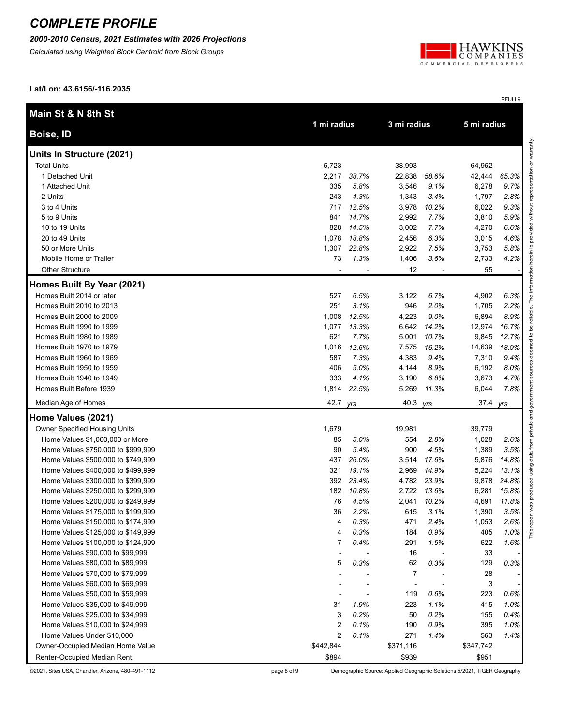*2000-2010 Census, 2021 Estimates with 2026 Projections*

*Calculated using Weighted Block Centroid from Block Groups*



RFULL9

**Lat/Lon: 43.6156/-116.2035**

| Main St & N 8th St                 |                |       | 3 mi radius    |       |           |       |  |  |  |  |             |  |
|------------------------------------|----------------|-------|----------------|-------|-----------|-------|--|--|--|--|-------------|--|
| <b>Boise, ID</b>                   | 1 mi radius    |       |                |       |           |       |  |  |  |  | 5 mi radius |  |
| Units In Structure (2021)          |                |       |                |       |           |       |  |  |  |  |             |  |
| <b>Total Units</b>                 | 5,723          |       | 38,993         |       | 64,952    |       |  |  |  |  |             |  |
| 1 Detached Unit                    | 2,217          | 38.7% | 22,838         | 58.6% | 42,444    | 65.3% |  |  |  |  |             |  |
| 1 Attached Unit                    | 335            | 5.8%  | 3,546          | 9.1%  | 6,278     | 9.7%  |  |  |  |  |             |  |
| 2 Units                            | 243            | 4.3%  | 1,343          | 3.4%  | 1,797     | 2.8%  |  |  |  |  |             |  |
| 3 to 4 Units                       | 717            | 12.5% | 3,978          | 10.2% | 6,022     | 9.3%  |  |  |  |  |             |  |
| 5 to 9 Units                       | 841            | 14.7% | 2,992          | 7.7%  | 3,810     | 5.9%  |  |  |  |  |             |  |
| 10 to 19 Units                     | 828            | 14.5% | 3,002          | 7.7%  | 4,270     | 6.6%  |  |  |  |  |             |  |
| 20 to 49 Units                     | 1,078          | 18.8% | 2,456          | 6.3%  | 3,015     | 4.6%  |  |  |  |  |             |  |
| 50 or More Units                   | 1,307          | 22.8% | 2,922          | 7.5%  | 3,753     | 5.8%  |  |  |  |  |             |  |
| Mobile Home or Trailer             | 73             | 1.3%  | 1,406          | 3.6%  | 2,733     | 4.2%  |  |  |  |  |             |  |
| <b>Other Structure</b>             |                |       | 12             |       | 55        |       |  |  |  |  |             |  |
| Homes Built By Year (2021)         |                |       |                |       |           |       |  |  |  |  |             |  |
| Homes Built 2014 or later          | 527            | 6.5%  | 3,122          | 6.7%  | 4,902     | 6.3%  |  |  |  |  |             |  |
| Homes Built 2010 to 2013           | 251            | 3.1%  | 946            | 2.0%  | 1,705     | 2.2%  |  |  |  |  |             |  |
| Homes Built 2000 to 2009           | 1,008          | 12.5% | 4,223          | 9.0%  | 6,894     | 8.9%  |  |  |  |  |             |  |
| Homes Built 1990 to 1999           | 1,077          | 13.3% | 6,642          | 14.2% | 12,974    | 16.7% |  |  |  |  |             |  |
| Homes Built 1980 to 1989           | 621            | 7.7%  | 5,001          | 10.7% | 9,845     | 12.7% |  |  |  |  |             |  |
| Homes Built 1970 to 1979           | 1,016          | 12.6% | 7,575          | 16.2% | 14,639    | 18.9% |  |  |  |  |             |  |
| Homes Built 1960 to 1969           | 587            | 7.3%  | 4,383          | 9.4%  | 7,310     | 9.4%  |  |  |  |  |             |  |
| Homes Built 1950 to 1959           | 406            | 5.0%  | 4,144          | 8.9%  | 6,192     | 8.0%  |  |  |  |  |             |  |
| Homes Built 1940 to 1949           | 333            | 4.1%  | 3,190          | 6.8%  | 3,673     | 4.7%  |  |  |  |  |             |  |
| Homes Built Before 1939            | 1,814          | 22.5% | 5,269          | 11.3% | 6,044     | 7.8%  |  |  |  |  |             |  |
| Median Age of Homes                | 42.7 yrs       |       | 40.3 yrs       |       | 37.4 yrs  |       |  |  |  |  |             |  |
| Home Values (2021)                 |                |       |                |       |           |       |  |  |  |  |             |  |
| Owner Specified Housing Units      | 1,679          |       | 19,981         |       | 39,779    |       |  |  |  |  |             |  |
| Home Values \$1,000,000 or More    | 85             | 5.0%  | 554            | 2.8%  | 1,028     | 2.6%  |  |  |  |  |             |  |
| Home Values \$750,000 to \$999,999 | 90             | 5.4%  | 900            | 4.5%  | 1,389     | 3.5%  |  |  |  |  |             |  |
| Home Values \$500,000 to \$749,999 | 437            | 26.0% | 3,514          | 17.6% | 5,876     | 14.8% |  |  |  |  |             |  |
| Home Values \$400,000 to \$499,999 | 321            | 19.1% | 2,969          | 14.9% | 5,224     | 13.1% |  |  |  |  |             |  |
| Home Values \$300,000 to \$399,999 | 392            | 23.4% | 4,782          | 23.9% | 9,878     | 24.8% |  |  |  |  |             |  |
| Home Values \$250,000 to \$299,999 | 182            | 10.8% | 2,722          | 13.6% | 6,281     | 15.8% |  |  |  |  |             |  |
| Home Values \$200,000 to \$249,999 | 76             | 4.5%  | 2,041          | 10.2% | 4,691     | 11.8% |  |  |  |  |             |  |
| Home Values \$175,000 to \$199,999 | 36             | 2.2%  | 615            | 3.1%  | 1,390     | 3.5%  |  |  |  |  |             |  |
| Home Values \$150,000 to \$174,999 | 4              | 0.3%  | 471            | 2.4%  | 1,053     | 2.6%  |  |  |  |  |             |  |
| Home Values \$125,000 to \$149,999 | 4              | 0.3%  | 184            | 0.9%  | 405       | 1.0%  |  |  |  |  |             |  |
| Home Values \$100,000 to \$124,999 | $\overline{7}$ | 0.4%  | 291            | 1.5%  | 622       | 1.6%  |  |  |  |  |             |  |
| Home Values \$90,000 to \$99,999   |                |       | 16             |       | 33        |       |  |  |  |  |             |  |
| Home Values \$80,000 to \$89,999   | 5              | 0.3%  | 62             | 0.3%  | 129       | 0.3%  |  |  |  |  |             |  |
| Home Values \$70,000 to \$79,999   |                |       | $\overline{7}$ |       | 28        |       |  |  |  |  |             |  |
| Home Values \$60,000 to \$69,999   |                |       |                |       | 3         |       |  |  |  |  |             |  |
| Home Values \$50,000 to \$59,999   |                |       | 119            | 0.6%  | 223       | 0.6%  |  |  |  |  |             |  |
| Home Values \$35,000 to \$49,999   | 31             | 1.9%  | 223            | 1.1%  | 415       | 1.0%  |  |  |  |  |             |  |
| Home Values \$25,000 to \$34,999   | 3              | 0.2%  | 50             | 0.2%  | 155       | 0.4%  |  |  |  |  |             |  |
| Home Values \$10,000 to \$24,999   | 2              | 0.1%  | 190            | 0.9%  | 395       | 1.0%  |  |  |  |  |             |  |
| Home Values Under \$10,000         | $\overline{2}$ | 0.1%  | 271            | 1.4%  | 563       | 1.4%  |  |  |  |  |             |  |
| Owner-Occupied Median Home Value   | \$442,844      |       | \$371,116      |       | \$347,742 |       |  |  |  |  |             |  |
| Renter-Occupied Median Rent        | \$894          |       | \$939          |       | \$951     |       |  |  |  |  |             |  |

©2021, Sites USA, Chandler, Arizona, 480-491-1112 page 8 of 9 Demographic Source: Applied Geographic Solutions 5/2021, TIGER Geography